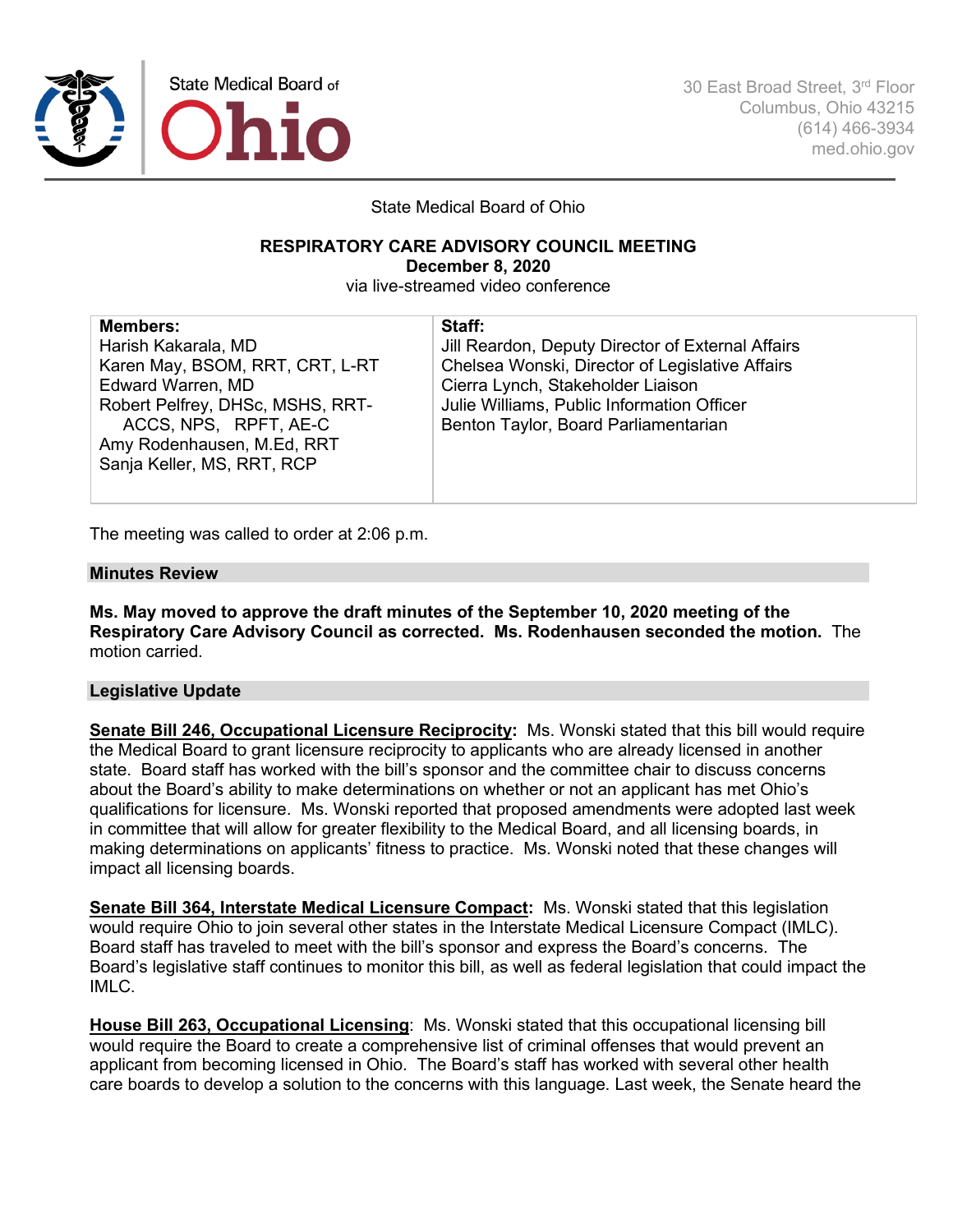

30 East Broad Street, 3rd Floor Columbus, Ohio 43215 (614) 466-3934 med.ohio.gov

State Medical Board of Ohio

### **RESPIRATORY CARE ADVISORY COUNCIL MEETING December 8, 2020**

via live-streamed video conference

| <b>Members:</b>                  | Staff:                                            |
|----------------------------------|---------------------------------------------------|
| Harish Kakarala, MD              | Jill Reardon, Deputy Director of External Affairs |
| Karen May, BSOM, RRT, CRT, L-RT  | Chelsea Wonski, Director of Legislative Affairs   |
| <b>Edward Warren, MD</b>         | Cierra Lynch, Stakeholder Liaison                 |
| Robert Pelfrey, DHSc, MSHS, RRT- | Julie Williams, Public Information Officer        |
| ACCS, NPS, RPFT, AE-C            | Benton Taylor, Board Parliamentarian              |
| Amy Rodenhausen, M.Ed, RRT       |                                                   |
| Sanja Keller, MS, RRT, RCP       |                                                   |
|                                  |                                                   |

The meeting was called to order at 2:06 p.m.

## **Minutes Review**

**Ms. May moved to approve the draft minutes of the September 10, 2020 meeting of the Respiratory Care Advisory Council as corrected. Ms. Rodenhausen seconded the motion.** The motion carried.

## **Legislative Update**

**Senate Bill 246, Occupational Licensure Reciprocity:** Ms. Wonski stated that this bill would require the Medical Board to grant licensure reciprocity to applicants who are already licensed in another state. Board staff has worked with the bill's sponsor and the committee chair to discuss concerns about the Board's ability to make determinations on whether or not an applicant has met Ohio's qualifications for licensure. Ms. Wonski reported that proposed amendments were adopted last week in committee that will allow for greater flexibility to the Medical Board, and all licensing boards, in making determinations on applicants' fitness to practice. Ms. Wonski noted that these changes will impact all licensing boards.

**Senate Bill 364, Interstate Medical Licensure Compact:** Ms. Wonski stated that this legislation would require Ohio to join several other states in the Interstate Medical Licensure Compact (IMLC). Board staff has traveled to meet with the bill's sponsor and express the Board's concerns. The Board's legislative staff continues to monitor this bill, as well as federal legislation that could impact the IMLC.

**House Bill 263, Occupational Licensing**: Ms. Wonski stated that this occupational licensing bill would require the Board to create a comprehensive list of criminal offenses that would prevent an applicant from becoming licensed in Ohio. The Board's staff has worked with several other health care boards to develop a solution to the concerns with this language. Last week, the Senate heard the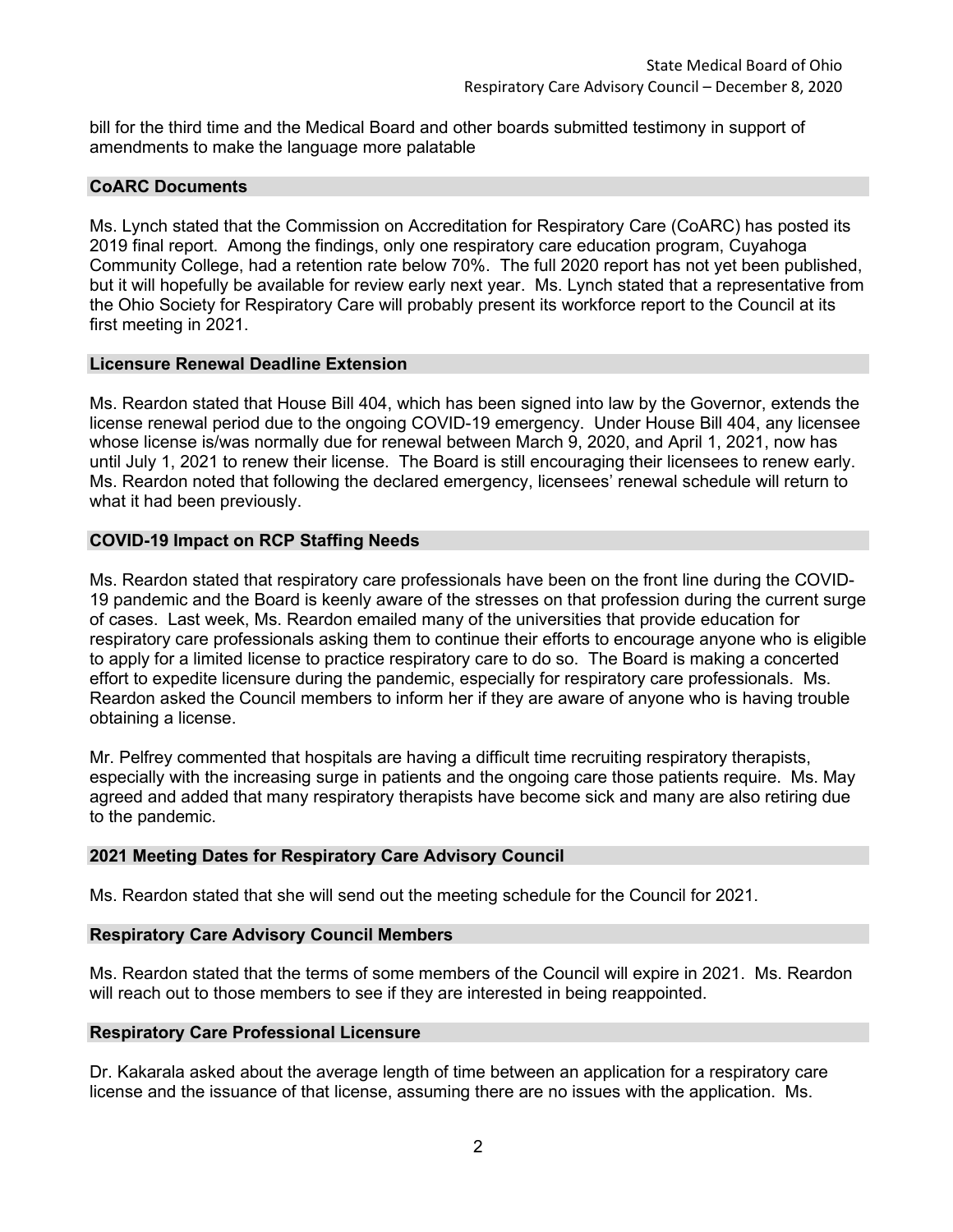bill for the third time and the Medical Board and other boards submitted testimony in support of amendments to make the language more palatable

## **CoARC Documents**

Ms. Lynch stated that the Commission on Accreditation for Respiratory Care (CoARC) has posted its 2019 final report. Among the findings, only one respiratory care education program, Cuyahoga Community College, had a retention rate below 70%. The full 2020 report has not yet been published, but it will hopefully be available for review early next year. Ms. Lynch stated that a representative from the Ohio Society for Respiratory Care will probably present its workforce report to the Council at its first meeting in 2021.

#### **Licensure Renewal Deadline Extension**

Ms. Reardon stated that House Bill 404, which has been signed into law by the Governor, extends the license renewal period due to the ongoing COVID-19 emergency. Under House Bill 404, any licensee whose license is/was normally due for renewal between March 9, 2020, and April 1, 2021, now has until July 1, 2021 to renew their license. The Board is still encouraging their licensees to renew early. Ms. Reardon noted that following the declared emergency, licensees' renewal schedule will return to what it had been previously.

#### **COVID-19 Impact on RCP Staffing Needs**

Ms. Reardon stated that respiratory care professionals have been on the front line during the COVID-19 pandemic and the Board is keenly aware of the stresses on that profession during the current surge of cases. Last week, Ms. Reardon emailed many of the universities that provide education for respiratory care professionals asking them to continue their efforts to encourage anyone who is eligible to apply for a limited license to practice respiratory care to do so. The Board is making a concerted effort to expedite licensure during the pandemic, especially for respiratory care professionals. Ms. Reardon asked the Council members to inform her if they are aware of anyone who is having trouble obtaining a license.

Mr. Pelfrey commented that hospitals are having a difficult time recruiting respiratory therapists, especially with the increasing surge in patients and the ongoing care those patients require. Ms. May agreed and added that many respiratory therapists have become sick and many are also retiring due to the pandemic.

## **2021 Meeting Dates for Respiratory Care Advisory Council**

Ms. Reardon stated that she will send out the meeting schedule for the Council for 2021.

## **Respiratory Care Advisory Council Members**

Ms. Reardon stated that the terms of some members of the Council will expire in 2021. Ms. Reardon will reach out to those members to see if they are interested in being reappointed.

#### **Respiratory Care Professional Licensure**

Dr. Kakarala asked about the average length of time between an application for a respiratory care license and the issuance of that license, assuming there are no issues with the application. Ms.